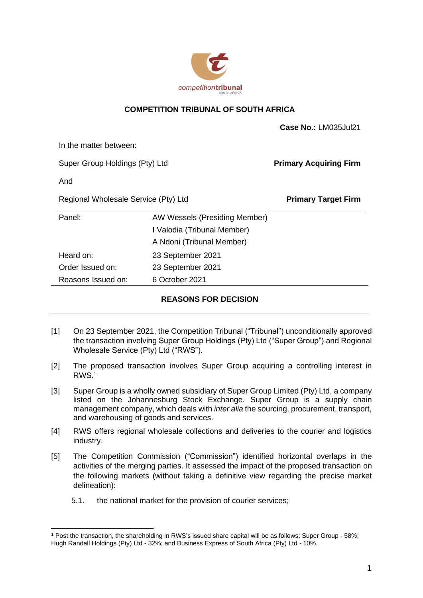

## **COMPETITION TRIBUNAL OF SOUTH AFRICA**

| In the matter between:<br>Super Group Holdings (Pty) Ltd<br><b>Primary Acquiring Firm</b><br>And<br>Regional Wholesale Service (Pty) Ltd<br><b>Primary Target Firm</b><br>Panel:<br>AW Wessels (Presiding Member)<br>I Valodia (Tribunal Member)<br>A Ndoni (Tribunal Member)<br>Heard on:<br>23 September 2021<br>Order Issued on:<br>23 September 2021<br>Reasons Issued on:<br>6 October 2021 |  |  | Case No.: LM035Jul21 |
|--------------------------------------------------------------------------------------------------------------------------------------------------------------------------------------------------------------------------------------------------------------------------------------------------------------------------------------------------------------------------------------------------|--|--|----------------------|
|                                                                                                                                                                                                                                                                                                                                                                                                  |  |  |                      |
|                                                                                                                                                                                                                                                                                                                                                                                                  |  |  |                      |
|                                                                                                                                                                                                                                                                                                                                                                                                  |  |  |                      |
|                                                                                                                                                                                                                                                                                                                                                                                                  |  |  |                      |
|                                                                                                                                                                                                                                                                                                                                                                                                  |  |  |                      |
|                                                                                                                                                                                                                                                                                                                                                                                                  |  |  |                      |
|                                                                                                                                                                                                                                                                                                                                                                                                  |  |  |                      |
|                                                                                                                                                                                                                                                                                                                                                                                                  |  |  |                      |
|                                                                                                                                                                                                                                                                                                                                                                                                  |  |  |                      |
|                                                                                                                                                                                                                                                                                                                                                                                                  |  |  |                      |

## **REASONS FOR DECISION**

- [1] On 23 September 2021, the Competition Tribunal ("Tribunal") unconditionally approved the transaction involving Super Group Holdings (Pty) Ltd ("Super Group") and Regional Wholesale Service (Pty) Ltd ("RWS").
- [2] The proposed transaction involves Super Group acquiring a controlling interest in RWS.<sup>1</sup>
- [3] Super Group is a wholly owned subsidiary of Super Group Limited (Pty) Ltd, a company listed on the Johannesburg Stock Exchange. Super Group is a supply chain management company, which deals with *inter alia* the sourcing, procurement, transport, and warehousing of goods and services.
- [4] RWS offers regional wholesale collections and deliveries to the courier and logistics industry.
- [5] The Competition Commission ("Commission") identified horizontal overlaps in the activities of the merging parties. It assessed the impact of the proposed transaction on the following markets (without taking a definitive view regarding the precise market delineation):
	- 5.1. the national market for the provision of courier services;

<sup>1</sup> Post the transaction, the shareholding in RWS's issued share capital will be as follows: Super Group - 58%; Hugh Randall Holdings (Pty) Ltd - 32%; and Business Express of South Africa (Pty) Ltd - 10%.